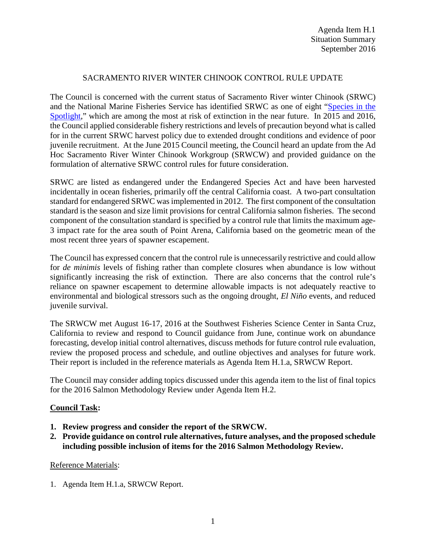## SACRAMENTO RIVER WINTER CHINOOK CONTROL RULE UPDATE

The Council is concerned with the current status of Sacramento River winter Chinook (SRWC) and the National Marine Fisheries Service has identified SRWC as one of eight ["Species in the](http://www.nmfs.noaa.gov/stories/2015/05/05_14_15species_in_the_spotlight.html)  [Spotlight,](http://www.nmfs.noaa.gov/stories/2015/05/05_14_15species_in_the_spotlight.html)" which are among the most at risk of extinction in the near future. In 2015 and 2016, the Council applied considerable fishery restrictions and levels of precaution beyond what is called for in the current SRWC harvest policy due to extended drought conditions and evidence of poor juvenile recruitment. At the June 2015 Council meeting, the Council heard an update from the Ad Hoc Sacramento River Winter Chinook Workgroup (SRWCW) and provided guidance on the formulation of alternative SRWC control rules for future consideration.

SRWC are listed as endangered under the Endangered Species Act and have been harvested incidentally in ocean fisheries, primarily off the central California coast. A two-part consultation standard for endangered SRWC was implemented in 2012. The first component of the consultation standard is the season and size limit provisions for central California salmon fisheries. The second component of the consultation standard is specified by a control rule that limits the maximum age-3 impact rate for the area south of Point Arena, California based on the geometric mean of the most recent three years of spawner escapement.

The Council has expressed concern that the control rule is unnecessarily restrictive and could allow for *de minimis* levels of fishing rather than complete closures when abundance is low without significantly increasing the risk of extinction. There are also concerns that the control rule's reliance on spawner escapement to determine allowable impacts is not adequately reactive to environmental and biological stressors such as the ongoing drought, *El Niño* events, and reduced juvenile survival.

The SRWCW met August 16-17, 2016 at the Southwest Fisheries Science Center in Santa Cruz, California to review and respond to Council guidance from June, continue work on abundance forecasting, develop initial control alternatives, discuss methods for future control rule evaluation, review the proposed process and schedule, and outline objectives and analyses for future work. Their report is included in the reference materials as Agenda Item H.1.a, SRWCW Report.

The Council may consider adding topics discussed under this agenda item to the list of final topics for the 2016 Salmon Methodology Review under Agenda Item H.2.

## **Council Task:**

- **1. Review progress and consider the report of the SRWCW.**
- **2. Provide guidance on control rule alternatives, future analyses, and the proposed schedule including possible inclusion of items for the 2016 Salmon Methodology Review.**

## Reference Materials:

1. Agenda Item H.1.a, SRWCW Report.